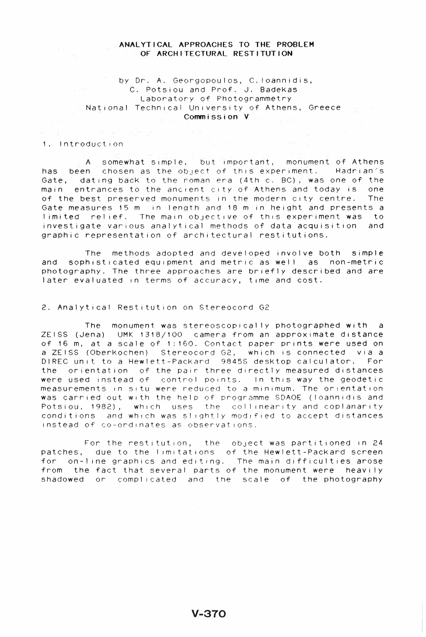## ANALYTICAL APPROACHES TO THE PROBLEM OF ARCHITECTURAL RESTITUTION

# by Dr. A. Georgopoulos, C.loannidis, C. Potsiou and Prof. J. 8adekas Laboratory of Photogrammetry . National Technical University of Athens, Greece  $\mathbb{R}^n$ **Commission V**

## 1. Introduction

A somewhat simple, but important, monument of Athens has been chosen as the object of this experiment. Hadrian's Gate, dating back to the roman era (4th c. BC), was one of the main entrances to the ancient city of Athens and today is one of the best preserved monuments in the modern city centre. The Gate measures 15 m in length and 18 m in height and presents a 1 imited relief. The main objective of this experiment was to investigate various analytical methods of data acquisition and graphic representation of architectural restitutions.

The methods adopted and developed involve both simple and sophisticated equipment and metric as well as non-metric photography. The three approaches are briefly described and are later evaluated in terms of accuracy, time and cost.

#### 2. Analytical Restitution on Stereocord G2

The monument was stereoscopically photographed with a ZEISS (Jena) UMK 1318/100 camera from an approximate distance of 16 m, at a scale of 1: 160. Contact paper prints were used on a ZEISS (Oberkochen) 8tereocord G2, which is connected via a DIREC unit to a Hewlett-PacKard 98458 desktop calculator. For the orientation of the pair three directly measured distances were used instead of control points. In this way the geodetic measurements In Situ were reduced to a minimum. The orientation was carried out with the help of programme SDAOE (loannidis and Potsiou, 1982), which uses the coliinearity and coplanarity conditions and which was slightly modified to accept distances instead of co-ordinates as observations.

For the restitution, the object was partitioned in 24 patches, due to the limitations of the Hewlett-Packard screen for on-line graphics and editing. The main difficulties arose from the fact that several parts of the monument were heavily shadowed or complicated and the scale of the photography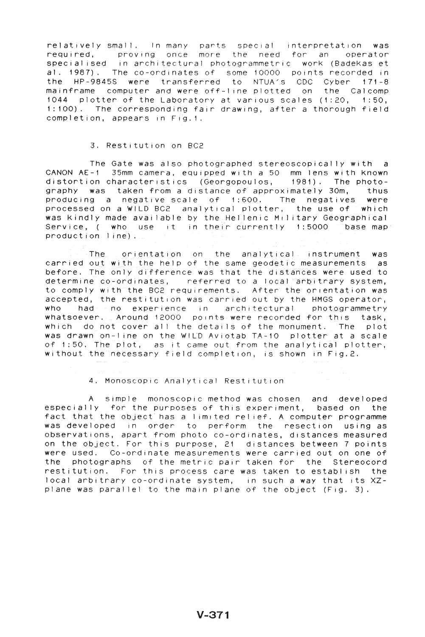relatively small. In many parts special interpretation was required, proving once more the need for an operator specialised in architectural photogrammetric work (Badekas et al. 1987). The co-ordinates of some 10000 points recorded in<br>the HP-9845S were transferred to NTUA(s CDC Cyber 171-8 the HP-9845S were transferred mainframe computer and were off-line plotted on the Calcomp 1044 plotter of the Laboratory at various scales (1 :20, 1 :50, 1: 100). The corresponding fair drawing, after a thorough field completion, appears in Fig.1.

## 3. Restitution on BC2

The Gate was also photographed stereoscopically with a CANON AE-1 35mm camera, equipped with a 50 mm lens with known distortion characteristics (Georgopoulos, 1981). The photography was taken from a distance of approximately 30m, thus producing a negative scale of 1 :600. The negatives were processed on a WILD BC2 analytical plotter, the use of which was Kindly made available by the Hellenic Military Geographical<br>Service, (who use it in their currently 1:5000 base map Service, ( who use it in their currently 1:5000 base map  $product(on, 1, no)$ .

The orientation on the analytical instrument was carried out with the help of the same geodetic measurements as before. The only difference was that the distances were used to determine co-ordinates, referred to a local arbitrary system, to comply with the BC2 requirements. After the orientation was accepted, the restitution was carried out by the HMGS operator,<br>who shads and experience in architectural photogrammetry  $\blacksquare$  had  $\blacksquare$  in architectural photogrammetry whatsoever. Around 12000 points were recorded for this task, which do not cover all the details of the monument. The plot was drawn on-line on the WILD Aviotab TA-10 plotter at a scale of 1:50. The plot, as it came out from the analytical plotter, without the necessary field completion, is shown in Fig.2.

4. Monoscopic Analytical Restitution

A simple monoscopic method was chosen and developed especially for the purposes of this experiment, based on the fact that the object has a limited relief. A computer programme was developed in order to perform the resection using as observations, apart from photo co-ordinates, distances measured on the object. For this purpose, 21 distances between 7 points were used. Co-ordinate measurements were carried out on one of the photographs of the metric pair taken for the Stereocord restitution. For this process care was taken to establish the local arbitrary co-ordinate system, in such a way that its XZplane was parallel to the main plane of the object (Fig. 3).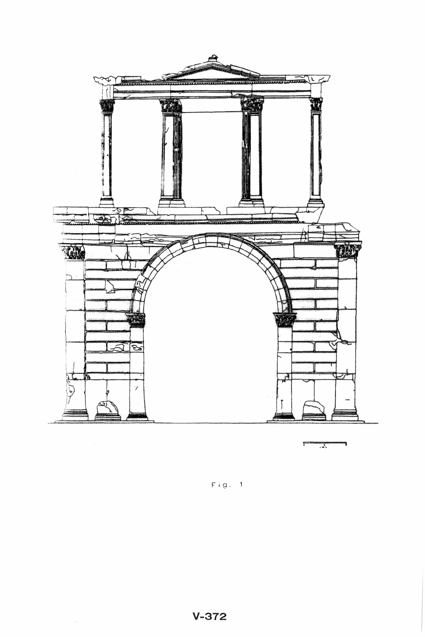

 $Fig. 1.1$ 

 $\sim$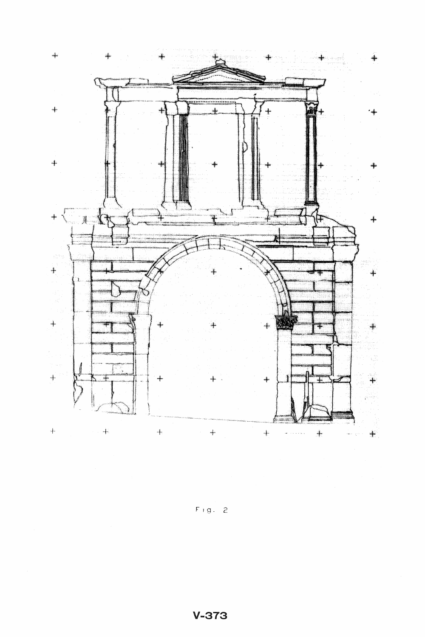

 $F/g. 2$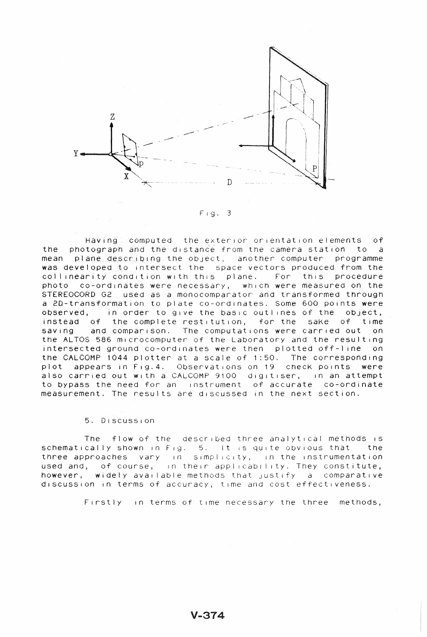

Fig. 3

Having computed the exterior orientation elements of the photograph and the distance from the camera station to a mean plane describing the object, another computer programme was developed to intersect the space vectors produced from the collinearity condition with this plane. For this procedure collinearity condition with this plane. For this procedure photo co-ordinates were necessary, which were measured on the STEREOCORD G2 used as a monocomparator and transformed through a 2D-transformation to plate co-ordinates. Some 600 points were observed, in order to give the basic outlines of the object, instead of the complete restitution, for the sake of time saving and comparison. The computations were carried out on the ALTOS 586 microcomputer of the Laboratory and the resulting intersected ground co-ordinates were then plotted off-l ine on the CALCOMP 1044 plotter at a scale of 1 :50. The corresponding plot appears in Fig.4. Observations on 19 check points were also carried out with a CALCOMP 9100 digitiser, in an attempt to bypass the need for an instrument of accurate co-ordinate measurement. The results are discussed in the next section.

### 5. DIScussion

The flow of the  $described$  three analytical methods is schematically shown in Fig. 5. It is quite obvious that the three approaches vary in simplicity, in the instrumentation used and, of course, in their applicability. They constitute, however, widely available methods that justify a comparative discussion in terms of accuracy, time and cost effectiveness.

Firstly in terms of time necessary the three methods,

 $V - 374$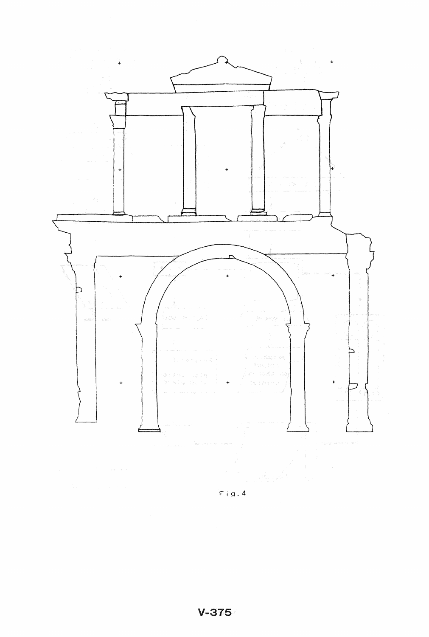

 $Fig. 4$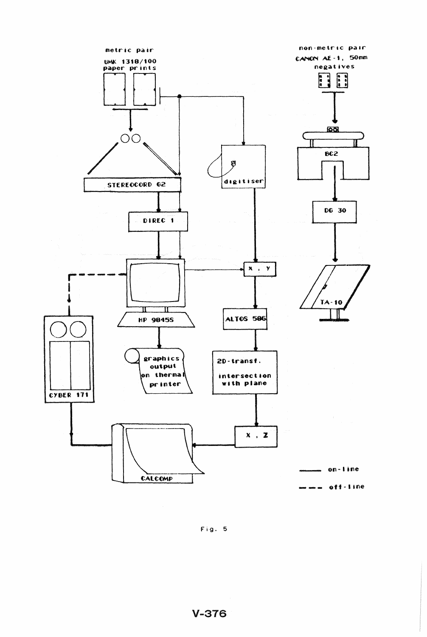

Fig. 5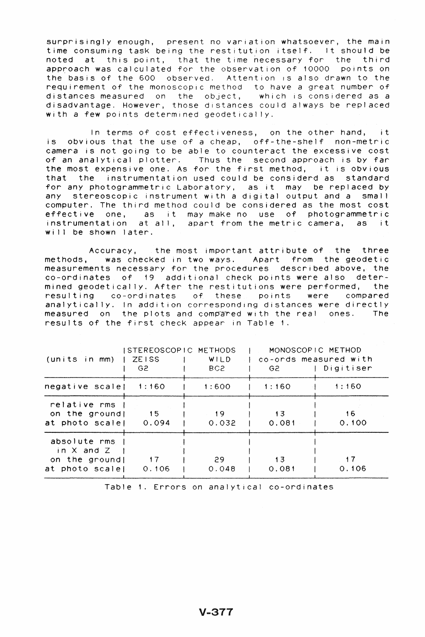surprisingly enough, present no variation whatsoever, the main time consuming task being the restitution itself. It should be noted at this point, that the time necessary for the third approach was calculated for the observation of 10000 points on the basis of the 600 observed. Attention is also drawn to the requirement of the monoscoplc method to have a great number of distances measured on the object, which is considered as a disadvantage. However, those distances could always be replaced with a few points determined geodetically.

In terms of cost effectiveness, on the other hand, it is obvious that the use of a cheap, off-the-shelf non-metric camera is not going to be able to counteract the excessive cost of an analytical plotter. Thus the second approach is by far the most expensive one. As for the first method, it is obvious that the instrumentation used could be considerd as standard for any photogrammetric Laboratory, as it may be replaced by any stereoscopic instrument with a digital output and a small computer. The third method could be considered as the most cost effective one, as it may make no use of photogrammetric instrumentation at all, apart from the metric camera, as it will be shown later.

Accuracy, the most important attribute of the three<br>methods, was checked in two ways, Apart from the geodetic was checked in two ways. Apart from the geodetic measurements necessary for the procedures described above, the  $co-ordinates$  of 19 additional check points were also determined geodetical ly. After the restitutions were performed, the resulting co-ordinates of these points were compared analytically. In addition corresponding distances were directly measured on the plots and compared with the real ones. The results of the first check appear in Table 1.

| $(units in mm)$                                                     | ISTEREOSCOPIC METHODS<br>ZEISS<br>G <sub>2</sub> | WILD<br>BC <sub>2</sub> | G2 -        | MONOSCOPIC METHOD<br>co-ords measured with<br>Digitiser |
|---------------------------------------------------------------------|--------------------------------------------------|-------------------------|-------------|---------------------------------------------------------|
| negative scale $1:160$                                              |                                                  | 1:600                   | 1:160       | 1:160                                                   |
| relative rms<br>on the ground!<br>at photo scale   0.094            | - 15                                             | 19<br>0.032             | 13<br>0.081 | 16<br>0.100                                             |
| absolute rms<br>in $X$ and $Z$<br>on the ground!<br>at photo scale! | $\overline{17}$<br>0.106                         | 29<br>0.048             | 13<br>0.081 | -17<br>0.106                                            |

Table 1. Errors on analytical co-ordinates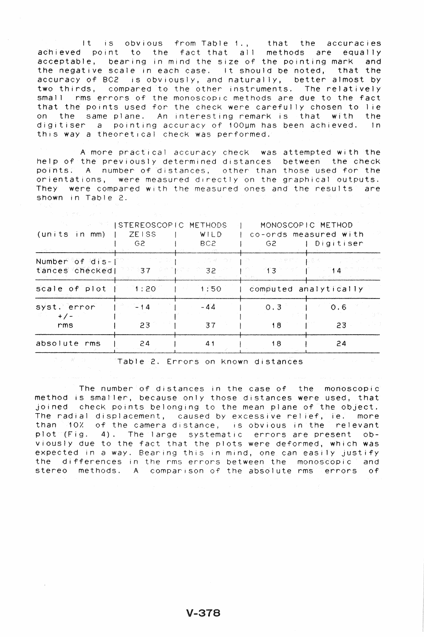It is obvious from Table 1., that the accuracies achieved point to the fact that all methods are equally acceptable, bearing in mind the size of the pointing mark and the negative scale in each case. It should be noted, that the accuracy of BC2 is obviously, and naturally, better almost by two thirds, compared to the other instruments. The relatively small irms errors of the monoscopic methods are due to the fact that the points used for the check were carefully chosen to lie on the same plane. An interesting remark is that with the digitiser a pointing accuracy of 100wm has been achieved. In this way a theoretical checK was performed.

A more practical accuracy check was attempted with the help of the previously determined distances between the check points. A number of distances, other than those used for the orientations, were measured directly on the graphical outputs. They were compared with the measured ones and the results are shown in Table 2.

| $(units in mm)$   $ZE1SS$                                                                    | <b>EXAMPLE ISTEREOSCOPIC METHODS</b><br>G <sub>2</sub><br><b>RAIL ACTUALITY</b> | WILD<br>BC2<br><b>DESCRIPTION AND LOCAL AND LOCAL PROPERTY</b> | MONOSCOPIC METHOD<br>G2 -                                                                                                                                                                                                                                                                                                                                                                                      | co-ords measured with<br>  Digitiser |
|----------------------------------------------------------------------------------------------|---------------------------------------------------------------------------------|----------------------------------------------------------------|----------------------------------------------------------------------------------------------------------------------------------------------------------------------------------------------------------------------------------------------------------------------------------------------------------------------------------------------------------------------------------------------------------------|--------------------------------------|
| Number of $diS - \lceil$<br>$\theta$ ances checked $\theta$ 37 $\theta$ $\theta$ $\theta$ 32 |                                                                                 | 그는 아침 적이 나가게 있다<br>그는 아이가 아니다.                                 | プリ・コやだこ おるめ<br>$\overline{1}$ $\overline{3}$ $\overline{1}$ $\overline{3}$ $\overline{1}$ $\overline{2}$ $\overline{1}$ $\overline{3}$ $\overline{1}$ $\overline{2}$ $\overline{3}$ $\overline{1}$ $\overline{2}$ $\overline{3}$ $\overline{1}$ $\overline{2}$ $\overline{3}$ $\overline{1}$ $\overline{2}$ $\overline{3}$ $\overline{1}$ $\overline{2}$ $\overline{3}$ $\overline{2}$ $\overline{$<br>▲ きょやっ。 |                                      |
| scale of $p$ lot $1:20$                                                                      |                                                                                 | 1:50                                                           | computed analytically                                                                                                                                                                                                                                                                                                                                                                                          |                                      |
| syst. error<br>$+/-$<br>rms                                                                  | $-14$<br>$-23$                                                                  | $-44$<br>37                                                    | 0.3<br>18                                                                                                                                                                                                                                                                                                                                                                                                      | 0.6<br>23                            |
| absolute rms                                                                                 | 24                                                                              | 41                                                             | 18                                                                                                                                                                                                                                                                                                                                                                                                             | 24                                   |

**Table 2. Errors on known distances** the final state of the state of the state of the state of the state of the state of the state of the state of the state of the state of the state of the state of the state of the state

The number of distances in the case of the monoscopic method is smaller, because only those distances were used, that joined check points belonging to the mean plane of the object. The radial displacement, caused by excessive relief, ie. more than 10% of the camera distance, is obvious in the relevant plot (Fig. 4). The large systematic errors are present obviously due to the fact that the plots were deformed, which was expected in a way. Bearing this in mind, one can easily justify the differences in the rms errors between the monoscopic and stereo methods. A comparison of the absolute rms errors of